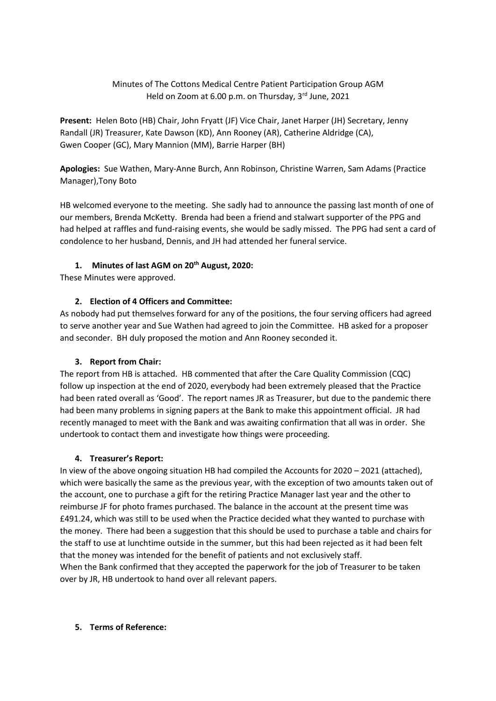Minutes of The Cottons Medical Centre Patient Participation Group AGM Held on Zoom at 6.00 p.m. on Thursday, 3rd June, 2021

**Present:** Helen Boto (HB) Chair, John Fryatt (JF) Vice Chair, Janet Harper (JH) Secretary, Jenny Randall (JR) Treasurer, Kate Dawson (KD), Ann Rooney (AR), Catherine Aldridge (CA), Gwen Cooper (GC), Mary Mannion (MM), Barrie Harper (BH)

**Apologies:** Sue Wathen, Mary-Anne Burch, Ann Robinson, Christine Warren, Sam Adams (Practice Manager),Tony Boto

HB welcomed everyone to the meeting. She sadly had to announce the passing last month of one of our members, Brenda McKetty. Brenda had been a friend and stalwart supporter of the PPG and had helped at raffles and fund-raising events, she would be sadly missed. The PPG had sent a card of condolence to her husband, Dennis, and JH had attended her funeral service.

# **1. Minutes of last AGM on 20th August, 2020:**

These Minutes were approved.

## **2. Election of 4 Officers and Committee:**

As nobody had put themselves forward for any of the positions, the four serving officers had agreed to serve another year and Sue Wathen had agreed to join the Committee. HB asked for a proposer and seconder. BH duly proposed the motion and Ann Rooney seconded it.

# **3. Report from Chair:**

The report from HB is attached. HB commented that after the Care Quality Commission (CQC) follow up inspection at the end of 2020, everybody had been extremely pleased that the Practice had been rated overall as 'Good'. The report names JR as Treasurer, but due to the pandemic there had been many problems in signing papers at the Bank to make this appointment official. JR had recently managed to meet with the Bank and was awaiting confirmation that all was in order. She undertook to contact them and investigate how things were proceeding.

### **4. Treasurer's Report:**

In view of the above ongoing situation HB had compiled the Accounts for 2020 – 2021 (attached), which were basically the same as the previous year, with the exception of two amounts taken out of the account, one to purchase a gift for the retiring Practice Manager last year and the other to reimburse JF for photo frames purchased. The balance in the account at the present time was £491.24, which was still to be used when the Practice decided what they wanted to purchase with the money. There had been a suggestion that this should be used to purchase a table and chairs for the staff to use at lunchtime outside in the summer, but this had been rejected as it had been felt that the money was intended for the benefit of patients and not exclusively staff. When the Bank confirmed that they accepted the paperwork for the job of Treasurer to be taken over by JR, HB undertook to hand over all relevant papers.

### **5. Terms of Reference:**